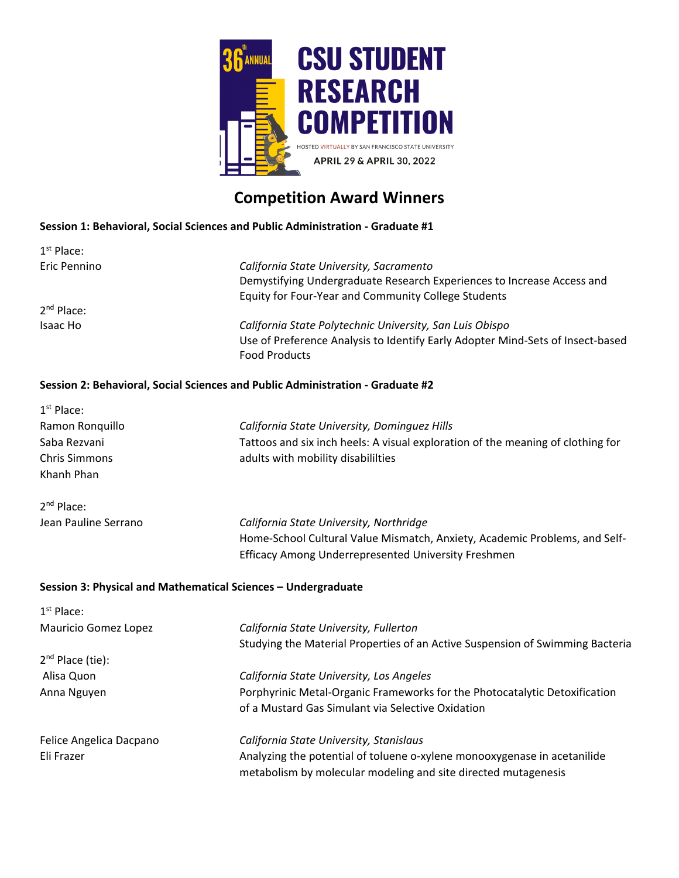

# **Competition Award Winners**

#### **Session 1: Behavioral, Social Sciences and Public Administration ‐ Graduate #1**

| $1st$ Place:           |                                                                                |
|------------------------|--------------------------------------------------------------------------------|
| Eric Pennino           | California State University, Sacramento                                        |
|                        | Demystifying Undergraduate Research Experiences to Increase Access and         |
|                        | Equity for Four-Year and Community College Students                            |
| 2 <sup>nd</sup> Place: |                                                                                |
| Isaac Ho               | California State Polytechnic University, San Luis Obispo                       |
|                        | Use of Preference Analysis to Identify Early Adopter Mind-Sets of Insect-based |
|                        | <b>Food Products</b>                                                           |
|                        |                                                                                |

#### **Session 2: Behavioral, Social Sciences and Public Administration ‐ Graduate #2**

| $1st$ Place:                                                  |                                                                                 |
|---------------------------------------------------------------|---------------------------------------------------------------------------------|
| Ramon Ronquillo                                               | California State University, Dominguez Hills                                    |
| Saba Rezvani                                                  | Tattoos and six inch heels: A visual exploration of the meaning of clothing for |
| <b>Chris Simmons</b>                                          | adults with mobility disabililties                                              |
| Khanh Phan                                                    |                                                                                 |
| $2nd$ Place:                                                  |                                                                                 |
| Jean Pauline Serrano                                          | California State University, Northridge                                         |
|                                                               | Home-School Cultural Value Mismatch, Anxiety, Academic Problems, and Self-      |
|                                                               | Efficacy Among Underrepresented University Freshmen                             |
| Session 3: Physical and Mathematical Sciences - Undergraduate |                                                                                 |
|                                                               |                                                                                 |
| $1st$ Place:                                                  |                                                                                 |
| Mauricio Gomez Lopez                                          | California State University, Fullerton                                          |
|                                                               | Studying the Material Properties of an Active Suspension of Swimming Bacteria   |
| $2nd$ Place (tie):                                            |                                                                                 |
| Alisa Quon                                                    | California State University, Los Angeles                                        |
| Anna Nguyen                                                   | Porphyrinic Metal-Organic Frameworks for the Photocatalytic Detoxification      |
|                                                               | of a Mustard Gas Simulant via Selective Oxidation                               |
| Felice Angelica Dacpano                                       | California State University, Stanislaus                                         |
| Eli Frazer                                                    | Analyzing the potential of toluene o-xylene monooxygenase in acetanilide        |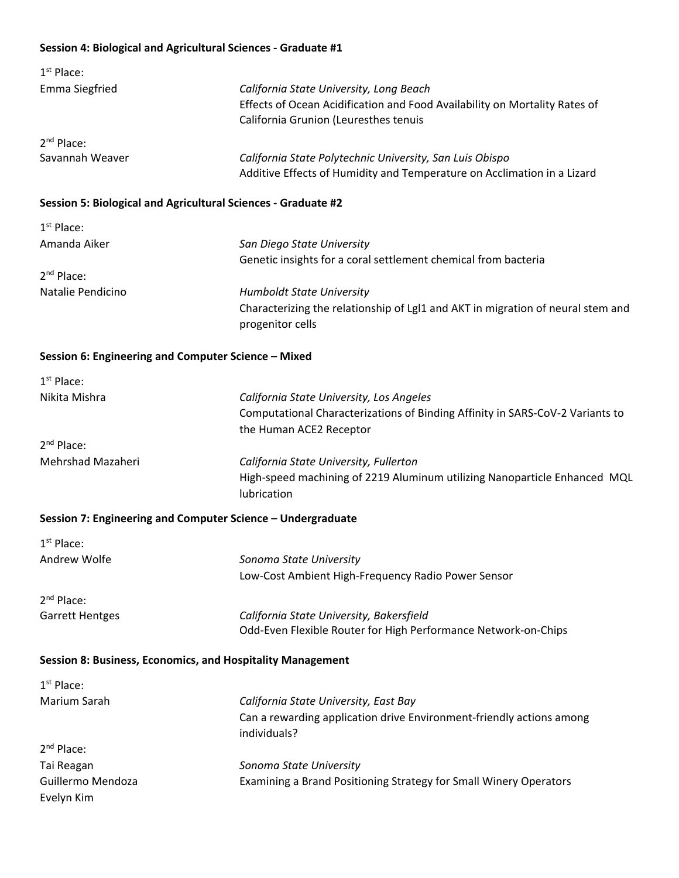#### **Session 4: Biological and Agricultural Sciences ‐ Graduate #1**

| $1st$ Place:          |                                                                            |
|-----------------------|----------------------------------------------------------------------------|
| <b>Emma Siegfried</b> | California State University, Long Beach                                    |
|                       | Effects of Ocean Acidification and Food Availability on Mortality Rates of |
|                       | California Grunion (Leuresthes tenuis                                      |
| $2nd$ Place:          |                                                                            |
| Savannah Weaver       | California State Polytechnic University, San Luis Obispo                   |
|                       | Additive Effects of Humidity and Temperature on Acclimation in a Lizard    |

#### **Session 5: Biological and Agricultural Sciences ‐ Graduate #2**

| $1st$ Place:      |                                                                                                     |
|-------------------|-----------------------------------------------------------------------------------------------------|
| Amanda Aiker      | San Diego State University                                                                          |
|                   | Genetic insights for a coral settlement chemical from bacteria                                      |
| $2nd$ Place:      |                                                                                                     |
| Natalie Pendicino | <b>Humboldt State University</b>                                                                    |
|                   | Characterizing the relationship of LgI1 and AKT in migration of neural stem and<br>progenitor cells |

#### **Session 6: Engineering and Computer Science – Mixed**

| $1st$ Place:      |                                                                               |
|-------------------|-------------------------------------------------------------------------------|
| Nikita Mishra     | California State University, Los Angeles                                      |
|                   | Computational Characterizations of Binding Affinity in SARS-CoV-2 Variants to |
|                   | the Human ACE2 Receptor                                                       |
| $2nd$ Place:      |                                                                               |
| Mehrshad Mazaheri | California State University, Fullerton                                        |
|                   | High-speed machining of 2219 Aluminum utilizing Nanoparticle Enhanced MQL     |
|                   | lubrication                                                                   |

#### **Session 7: Engineering and Computer Science – Undergraduate**

Evelyn Kim

| $1st$ Place:           |                                                                      |
|------------------------|----------------------------------------------------------------------|
| Andrew Wolfe           | Sonoma State University                                              |
|                        | Low-Cost Ambient High-Frequency Radio Power Sensor                   |
| $2nd$ Place:           |                                                                      |
| <b>Garrett Hentges</b> | California State University, Bakersfield                             |
|                        | Odd-Even Flexible Router for High Performance Network-on-Chips       |
|                        | Session 8: Business, Economics, and Hospitality Management           |
| $1st$ Place:           |                                                                      |
| Marium Sarah           | California State University, East Bay                                |
|                        | Can a rewarding application drive Environment-friendly actions among |
|                        | individuals?                                                         |
| $2nd$ Place:           |                                                                      |
| Tai Reagan             | Sonoma State University                                              |
| Guillermo Mendoza      | Examining a Brand Positioning Strategy for Small Winery Operators    |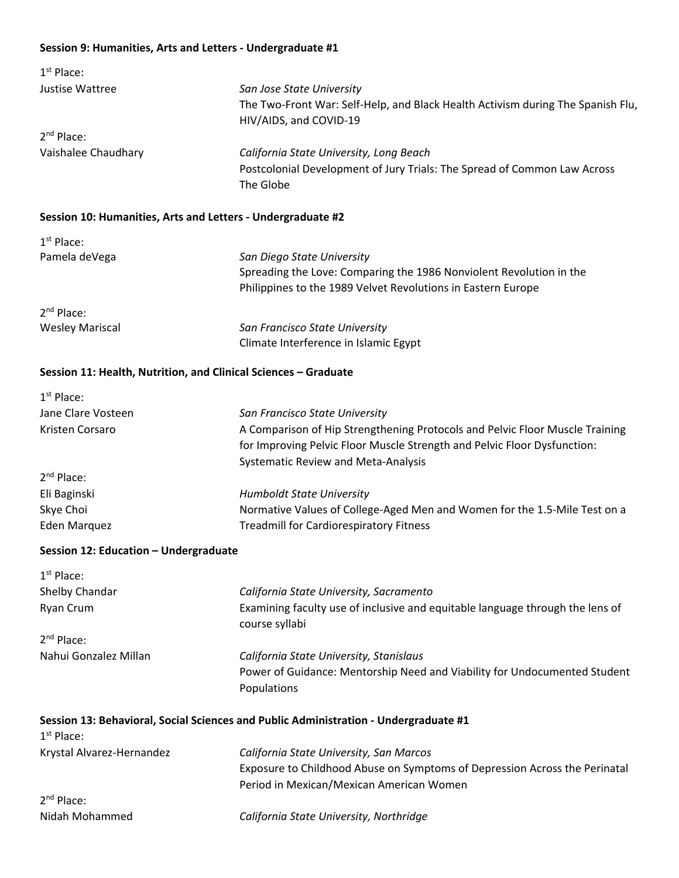# **Session 9: Humanities, Arts and Letters ‐ Undergraduate #1**

| $1st$ Place:        |                                                                                 |
|---------------------|---------------------------------------------------------------------------------|
| Justise Wattree     | San Jose State University                                                       |
|                     | The Two-Front War: Self-Help, and Black Health Activism during The Spanish Flu, |
|                     | HIV/AIDS, and COVID-19                                                          |
| $2^{nd}$ Place:     |                                                                                 |
| Vaishalee Chaudhary | California State University, Long Beach                                         |
|                     | Postcolonial Development of Jury Trials: The Spread of Common Law Across        |
|                     | The Globe                                                                       |

# **Session 10: Humanities, Arts and Letters ‐ Undergraduate #2**

| $1st$ Place:           |                                                                     |
|------------------------|---------------------------------------------------------------------|
| Pamela deVega          | San Diego State University                                          |
|                        | Spreading the Love: Comparing the 1986 Nonviolent Revolution in the |
|                        | Philippines to the 1989 Velvet Revolutions in Eastern Europe        |
| $2^{nd}$ Place:        |                                                                     |
| <b>Wesley Mariscal</b> | San Francisco State University                                      |
|                        | Climate Interference in Islamic Egypt                               |

#### **Session 11: Health, Nutrition, and Clinical Sciences – Graduate**

| $1st$ Place:       |                                                                              |
|--------------------|------------------------------------------------------------------------------|
| Jane Clare Vosteen | San Francisco State University                                               |
| Kristen Corsaro    | A Comparison of Hip Strengthening Protocols and Pelvic Floor Muscle Training |
|                    | for Improving Pelvic Floor Muscle Strength and Pelvic Floor Dysfunction:     |
|                    | <b>Systematic Review and Meta-Analysis</b>                                   |
| $2nd$ Place:       |                                                                              |
| Eli Baginski       | <b>Humboldt State University</b>                                             |
| Skye Choi          | Normative Values of College-Aged Men and Women for the 1.5-Mile Test on a    |
| Eden Marquez       | <b>Treadmill for Cardiorespiratory Fitness</b>                               |

# **Session 12: Education – Undergraduate**

| $1st$ Place:           |                                                                                                 |
|------------------------|-------------------------------------------------------------------------------------------------|
| Shelby Chandar         | California State University, Sacramento                                                         |
| Ryan Crum              | Examining faculty use of inclusive and equitable language through the lens of<br>course syllabi |
| $2nd$ Place:           |                                                                                                 |
| Nahui Gonzalez Millan  | California State University, Stanislaus                                                         |
|                        | Power of Guidance: Mentorship Need and Viability for Undocumented Student                       |
|                        | Populations                                                                                     |
| 1 <sup>st</sup> Place: | Session 13: Behavioral, Social Sciences and Public Administration - Undergraduate #1            |

| Krystal Alvarez-Hernandez | California State University, San Marcos                                    |
|---------------------------|----------------------------------------------------------------------------|
|                           | Exposure to Childhood Abuse on Symptoms of Depression Across the Perinatal |
|                           | Period in Mexican/Mexican American Women                                   |
| $2nd$ Place:              |                                                                            |

| Nidah Mohammed | California State University, Northridge |  |
|----------------|-----------------------------------------|--|
|----------------|-----------------------------------------|--|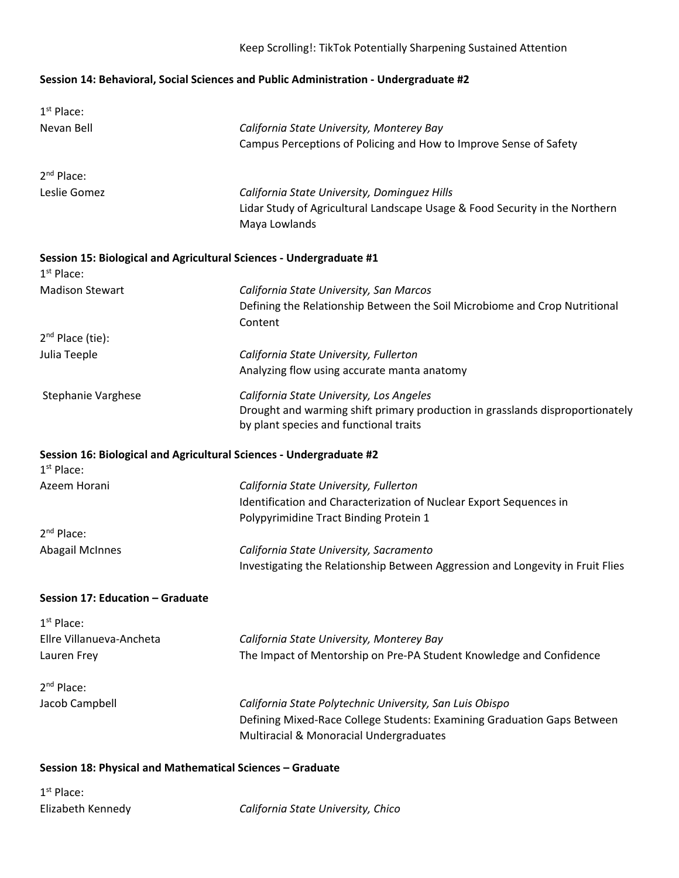# Keep Scrolling!: TikTok Potentially Sharpening Sustained Attention

# **Session 14: Behavioral, Social Sciences and Public Administration ‐ Undergraduate #2**

| $1st$ Place:                                                                        |                                                                                                                                                                     |
|-------------------------------------------------------------------------------------|---------------------------------------------------------------------------------------------------------------------------------------------------------------------|
| Nevan Bell                                                                          | California State University, Monterey Bay<br>Campus Perceptions of Policing and How to Improve Sense of Safety                                                      |
| 2 <sup>nd</sup> Place:                                                              |                                                                                                                                                                     |
| Leslie Gomez                                                                        | California State University, Dominguez Hills<br>Lidar Study of Agricultural Landscape Usage & Food Security in the Northern<br>Maya Lowlands                        |
| Session 15: Biological and Agricultural Sciences - Undergraduate #1<br>$1st$ Place: |                                                                                                                                                                     |
| <b>Madison Stewart</b>                                                              | California State University, San Marcos<br>Defining the Relationship Between the Soil Microbiome and Crop Nutritional<br>Content                                    |
| $2nd$ Place (tie):                                                                  |                                                                                                                                                                     |
| Julia Teeple                                                                        | California State University, Fullerton<br>Analyzing flow using accurate manta anatomy                                                                               |
| <b>Stephanie Varghese</b>                                                           | California State University, Los Angeles<br>Drought and warming shift primary production in grasslands disproportionately<br>by plant species and functional traits |
| Session 16: Biological and Agricultural Sciences - Undergraduate #2<br>$1st$ Place: |                                                                                                                                                                     |
| Azeem Horani                                                                        | California State University, Fullerton<br>Identification and Characterization of Nuclear Export Sequences in<br>Polypyrimidine Tract Binding Protein 1              |
| $2nd$ Place:                                                                        |                                                                                                                                                                     |
| <b>Abagail McInnes</b>                                                              | California State University, Sacramento<br>Investigating the Relationship Between Aggression and Longevity in Fruit Flies                                           |
| Session 17: Education - Graduate                                                    |                                                                                                                                                                     |
| $1st$ Place:<br>Ellre Villanueva-Ancheta<br>Lauren Frey                             | California State University, Monterey Bay<br>The Impact of Mentorship on Pre-PA Student Knowledge and Confidence                                                    |
| 2 <sup>nd</sup> Place:<br>Jacob Campbell                                            | California State Polytechnic University, San Luis Obispo<br>Defining Mixed-Race College Students: Examining Graduation Gaps Between                                 |
|                                                                                     | Multiracial & Monoracial Undergraduates                                                                                                                             |

1<sup>st</sup> Place:

Elizabeth Kennedy *California State University, Chico*